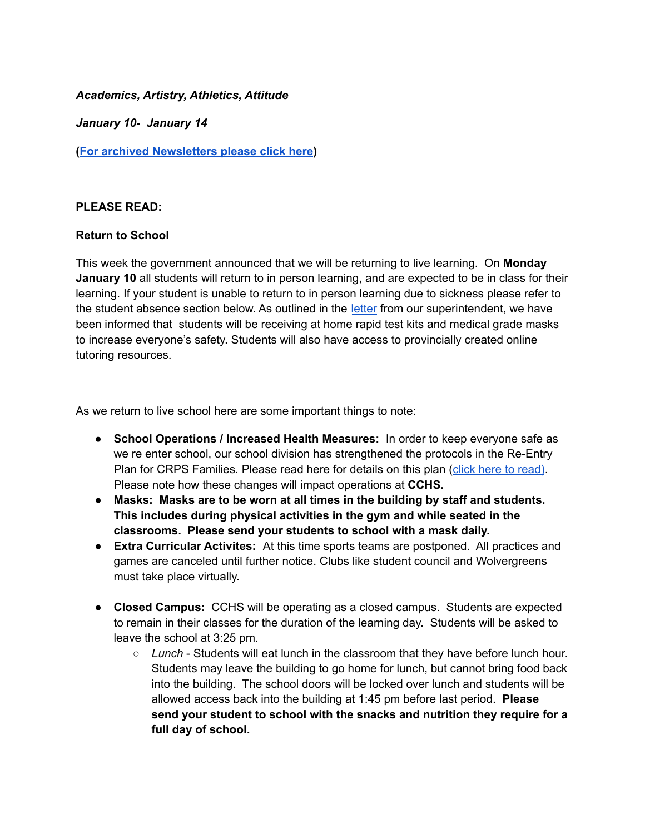### *Academics, Artistry, Athletics, Attitude*

*January 10- January 14*

**(For archived [Newsletters](https://cchs-crps.rallyonline.ca/about/newsletters) please click here)**

### **PLEASE READ:**

### **Return to School**

This week the government announced that we will be returning to live learning. On **Monday January 10** all students will return to in person learning, and are expected to be in class for their learning. If your student is unable to return to in person learning due to sickness please refer to the student absence section below. As outlined in the [letter](https://www.crps.ca/download/377602) from our superintendent, we have been informed that students will be receiving at home rapid test kits and medical grade masks to increase everyone's safety. Students will also have access to provincially created online tutoring resources.

As we return to live school here are some important things to note:

- **School Operations / Increased Health Measures:** In order to keep everyone safe as we re enter school, our school division has strengthened the protocols in the Re-Entry Plan for CRPS Families. Please read here for details on this plan (click here to [read\)](https://www.crps.ca/download/349105). Please note how these changes will impact operations at **CCHS.**
- **Masks: Masks are to be worn at all times in the building by staff and students. This includes during physical activities in the gym and while seated in the classrooms. Please send your students to school with a mask daily.**
- **Extra Curricular Activites:** At this time sports teams are postponed. All practices and games are canceled until further notice. Clubs like student council and Wolvergreens must take place virtually.
- **Closed Campus:** CCHS will be operating as a closed campus. Students are expected to remain in their classes for the duration of the learning day. Students will be asked to leave the school at 3:25 pm.
	- *Lunch* Students will eat lunch in the classroom that they have before lunch hour. Students may leave the building to go home for lunch, but cannot bring food back into the building. The school doors will be locked over lunch and students will be allowed access back into the building at 1:45 pm before last period. **Please send your student to school with the snacks and nutrition they require for a full day of school.**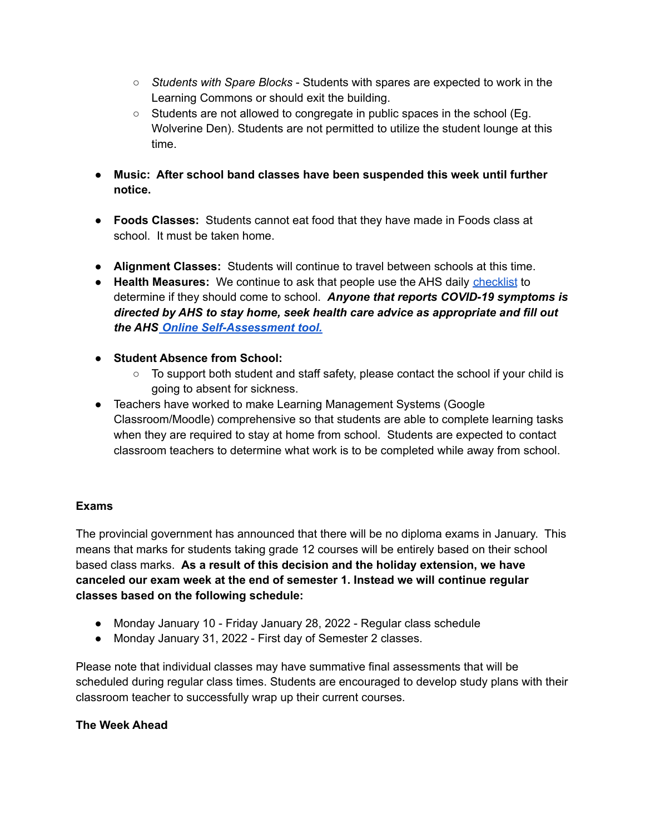- *Students with Spare Blocks* Students with spares are expected to work in the Learning Commons or should exit the building.
- Students are not allowed to congregate in public spaces in the school (Eg. Wolverine Den). Students are not permitted to utilize the student lounge at this time.
- **Music: After school band classes have been suspended this week until further notice.**
- **Foods Classes:** Students cannot eat food that they have made in Foods class at school. It must be taken home.
- **Alignment Classes:** Students will continue to travel between schools at this time.
- **Health Measures:** We continue to ask that people use the AHS daily [checklist](https://open.alberta.ca/dataset/56c020ed-1782-4c6c-bfdd-5af36754471f/resource/58957831-a4ab-45ff-9a8e-3c6af7c1622e/download/covid-19-information-alberta-health-daily-checklist-2021-08.pdf) to determine if they should come to school. *Anyone that reports COVID-19 symptoms is directed by AHS to stay home, seek health care advice as appropriate and fill out the AHS Online [Self-Assessment](https://myhealth.alberta.ca/Journey/COVID-19/Pages/COVID-Self-Assessment.aspx) tool.*
- **Student Absence from School:**
	- To support both student and staff safety, please contact the school if your child is going to absent for sickness.
- Teachers have worked to make Learning Management Systems (Google Classroom/Moodle) comprehensive so that students are able to complete learning tasks when they are required to stay at home from school. Students are expected to contact classroom teachers to determine what work is to be completed while away from school.

# **Exams**

The provincial government has announced that there will be no diploma exams in January. This means that marks for students taking grade 12 courses will be entirely based on their school based class marks. **As a result of this decision and the holiday extension, we have canceled our exam week at the end of semester 1. Instead we will continue regular classes based on the following schedule:**

- Monday January 10 Friday January 28, 2022 Regular class schedule
- Monday January 31, 2022 First day of Semester 2 classes.

Please note that individual classes may have summative final assessments that will be scheduled during regular class times. Students are encouraged to develop study plans with their classroom teacher to successfully wrap up their current courses.

# **The Week Ahead**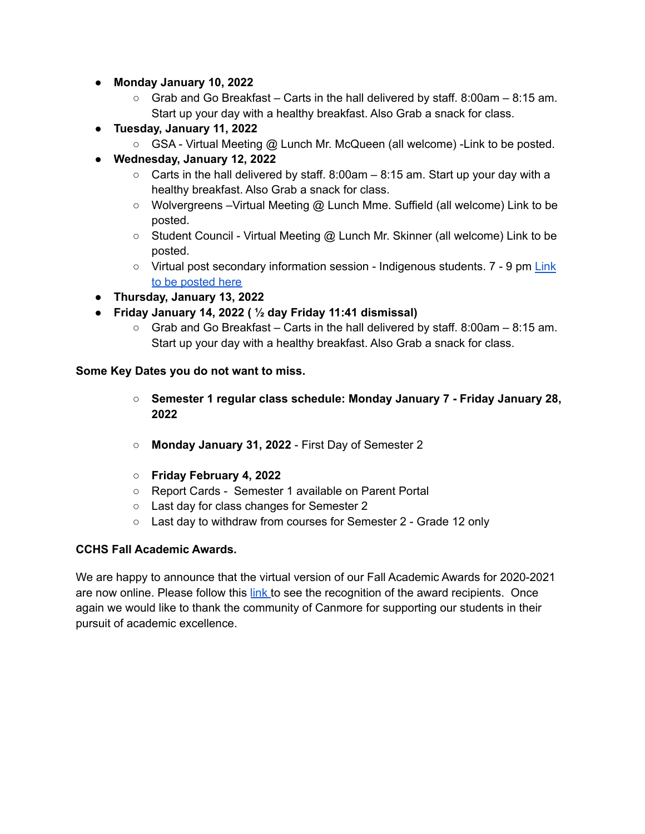- **Monday January 10, 2022**
	- $\circ$  Grab and Go Breakfast Carts in the hall delivered by staff. 8:00am 8:15 am. Start up your day with a healthy breakfast. Also Grab a snack for class.
- **Tuesday, January 11, 2022**
	- GSA Virtual Meeting @ Lunch Mr. McQueen (all welcome) Link to be posted.
- **Wednesday, January 12, 2022**
	- $\circ$  Carts in the hall delivered by staff. 8:00am  $-$  8:15 am. Start up your day with a healthy breakfast. Also Grab a snack for class.
	- Wolvergreens Virtual Meeting @ Lunch Mme. Suffield (all welcome) Link to be posted.
	- Student Council Virtual Meeting @ Lunch Mr. Skinner (all welcome) Link to be posted.
	- Virtual post secondary information session Indigenous students. 7 9 pm [Link](https://cchs.crps.ca/home/news/post/cchs-grad-update-page) to be [posted](https://cchs.crps.ca/home/news/post/cchs-grad-update-page) here
- **Thursday, January 13, 2022**
- **Friday January 14, 2022 ( ½ day Friday 11:41 dismissal)**
	- $\circ$  Grab and Go Breakfast Carts in the hall delivered by staff. 8:00am 8:15 am. Start up your day with a healthy breakfast. Also Grab a snack for class.

### **Some Key Dates you do not want to miss.**

- **Semester 1 regular class schedule: Monday January 7 - Friday January 28, 2022**
- **Monday January 31, 2022** First Day of Semester 2
- **Friday February 4, 2022**
- Report Cards Semester 1 available on Parent Portal
- Last day for class changes for Semester 2
- Last day to withdraw from courses for Semester 2 Grade 12 only

# **CCHS Fall Academic Awards.**

We are happy to announce that the virtual version of our Fall Academic Awards for 2020-2021 are now online. Please follow this [link](https://cchs.crps.ca/home/news/post/cchs-academic-awards-2021) to see the recognition of the award recipients. Once again we would like to thank the community of Canmore for supporting our students in their pursuit of academic excellence.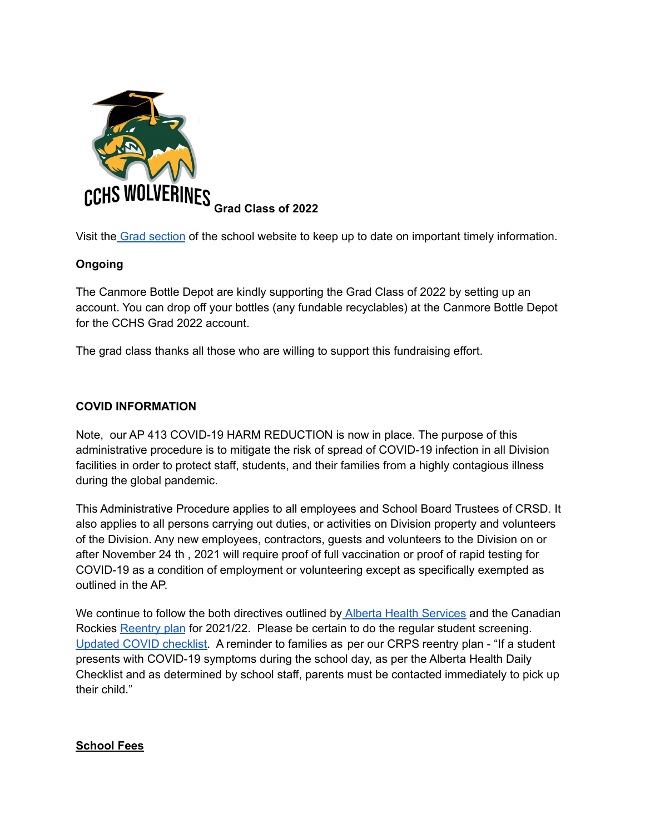

Visit the Grad [section](https://cchs.crps.ca/home/news/post/cchs-grad-update-page) of the school website to keep up to date on important timely information.

# **Ongoing**

The Canmore Bottle Depot are kindly supporting the Grad Class of 2022 by setting up an account. You can drop off your bottles (any fundable recyclables) at the Canmore Bottle Depot for the CCHS Grad 2022 account.

The grad class thanks all those who are willing to support this fundraising effort.

### **COVID INFORMATION**

Note, our AP 413 COVID-19 HARM REDUCTION is now in place. The purpose of this administrative procedure is to mitigate the risk of spread of COVID-19 infection in all Division facilities in order to protect staff, students, and their families from a highly contagious illness during the global pandemic.

This Administrative Procedure applies to all employees and School Board Trustees of CRSD. It also applies to all persons carrying out duties, or activities on Division property and volunteers of the Division. Any new employees, contractors, guests and volunteers to the Division on or after November 24 th , 2021 will require proof of full vaccination or proof of rapid testing for COVID-19 as a condition of employment or volunteering except as specifically exempted as outlined in the AP.

We continue to follow the both directives outlined by Alberta Health [Services](https://www.alberta.ca/isolation.aspx) and the Canadian Rockies [Reentry](https://www.crps.ca/download/361834) plan for 2021/22. Please be certain to do the regular student screening[.](https://open.alberta.ca/dataset/56c020ed-1782-4c6c-bfdd-5af36754471f/resource/58957831-a4ab-45ff-9a8e-3c6af7c1622e/download/covid-19-information-alberta-health-daily-checklist-2021-08.pdf) Updated COVID [checklist.](https://open.alberta.ca/dataset/56c020ed-1782-4c6c-bfdd-5af36754471f/resource/58957831-a4ab-45ff-9a8e-3c6af7c1622e/download/covid-19-information-alberta-health-daily-checklist-2021-08.pdf) A reminder to families as per our CRPS reentry plan - "If a student presents with COVID-19 symptoms during the school day, as per the Alberta Health Daily Checklist and as determined by school staff, parents must be contacted immediately to pick up their child."

### **School Fees**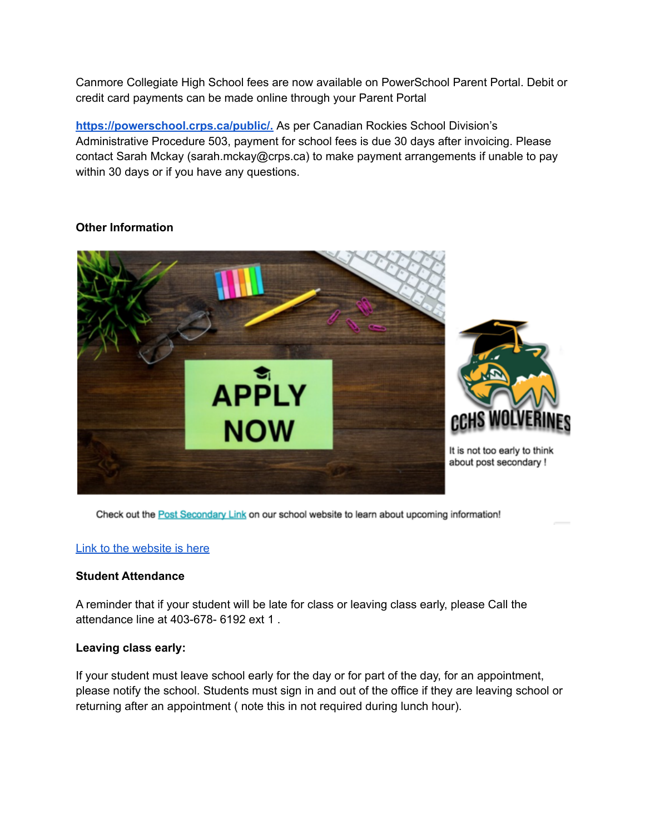Canmore Collegiate High School fees are now available on PowerSchool Parent Portal. Debit or credit card payments can be made online through your Parent Portal

**[https://powerschool.crps.ca/public/.](https://powerschool.crps.ca/public/)** As per Canadian Rockies School Division's Administrative Procedure 503, payment for school fees is due 30 days after invoicing. Please contact Sarah Mckay (sarah.mckay@crps.ca) to make payment arrangements if unable to pay within 30 days or if you have any questions.

### **Other Information**



Check out the Post Secondary Link on our school website to learn about upcoming information!

### Link to the [website](https://cchs.crps.ca/programs/post-secondary) is here

### **Student Attendance**

A reminder that if your student will be late for class or leaving class early, please Call the attendance line at 403-678- 6192 ext 1 .

### **Leaving class early:**

If your student must leave school early for the day or for part of the day, for an appointment, please notify the school. Students must sign in and out of the office if they are leaving school or returning after an appointment ( note this in not required during lunch hour).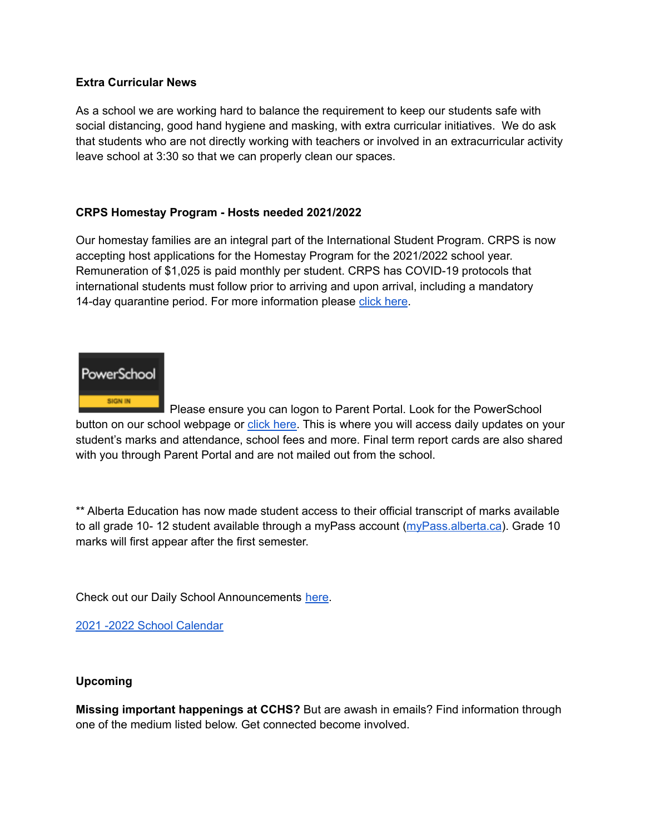### **Extra Curricular News**

As a school we are working hard to balance the requirement to keep our students safe with social distancing, good hand hygiene and masking, with extra curricular initiatives. We do ask that students who are not directly working with teachers or involved in an extracurricular activity leave school at 3:30 so that we can properly clean our spaces.

### **CRPS Homestay Program - Hosts needed 2021/2022**

Our homestay families are an integral part of the International Student Program. CRPS is now accepting host applications for the Homestay Program for the 2021/2022 school year. Remuneration of \$1,025 is paid monthly per student. CRPS has COVID-19 protocols that international students must follow prior to arriving and upon arrival, including a mandatory 14-day quarantine period. For more information please click [here](https://crps.ca/Homestay%20Program.php).



Please ensure you can logon to Parent Portal. Look for the PowerSchool button on our school webpage or click [here.](https://powerschool.crps.ca/public/) This is where you will access daily updates on your student's marks and attendance, school fees and more. Final term report cards are also shared with you through Parent Portal and are not mailed out from the school.

\*\* Alberta Education has now made student access to their official transcript of marks available to all grade 10- 12 student available through a myPass account [\(myPass.alberta.ca](https://public.education.alberta.ca/PASI/myPass)). Grade 10 marks will first appear after the first semester.

Check out our Daily School Announcements [here](https://docs.google.com/presentation/d/1eKIacynJnXoiOT2vNIyyWorRDtkcVp_c5pX052OGIN8/edit?usp=sharing).

2021 -2022 School [Calendar](https://www.crps.ca/download/344933)

### **Upcoming**

**Missing important happenings at CCHS?** But are awash in emails? Find information through one of the medium listed below. Get connected become involved.